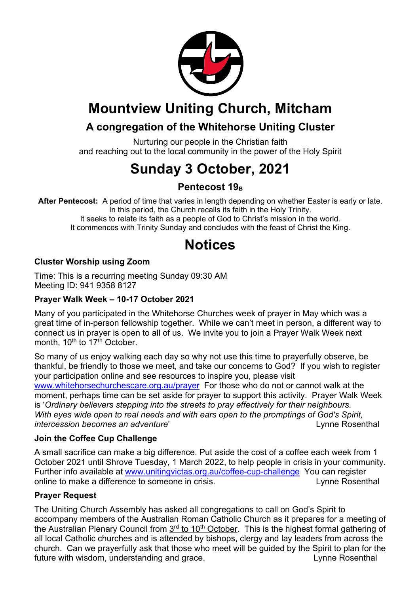

# **Mountview Uniting Church, Mitcham**

### **A congregation of the Whitehorse Uniting Cluster**

Nurturing our people in the Christian faith and reaching out to the local community in the power of the Holy Spirit

# **Sunday 3 October, 2021**

### **Pentecost 19**<sub>B</sub>

**After Pentecost:** A period of time that varies in length depending on whether Easter is early or late. In this period, the Church recalls its faith in the Holy Trinity. It seeks to relate its faith as a people of God to Christ's mission in the world. It commences with Trinity Sunday and concludes with the feast of Christ the King.

# **Notices**

### **Cluster Worship using Zoom**

Time: This is a recurring meeting Sunday 09:30 AM Meeting ID: 941 9358 8127

#### **Prayer Walk Week – 10-17 October 2021**

Many of you participated in the Whitehorse Churches week of prayer in May which was a great time of in-person fellowship together. While we can't meet in person, a different way to connect us in prayer is open to all of us. We invite you to join a Prayer Walk Week next month, 10<sup>th</sup> to 17<sup>th</sup> October.

So many of us enjoy walking each day so why not use this time to prayerfully observe, be thankful, be friendly to those we meet, and take our concerns to God? If you wish to register your participation online and see resources to inspire you, please visit www.whitehorsechurchescare.org.au/prayer For those who do not or cannot walk at the moment, perhaps time can be set aside for prayer to support this activity. Prayer Walk Week is '*Ordinary believers stepping into the streets to pray effectively for their neighbours. With eyes wide open to real needs and with ears open to the promptings of God's Spirit, intercession becomes an adventure'* and the contract the contract contract the contract of the contract of the contract of the contract of the contract of the contract of the contract of the contract of the contract of th

#### **Join the Coffee Cup Challenge**

A small sacrifice can make a big difference. Put aside the cost of a coffee each week from 1 October 2021 until Shrove Tuesday, 1 March 2022, to help people in crisis in your community. Further info available at www.unitingvictas.org.au/coffee-cup-challenge You can register online to make a difference to someone in crisis. The same state of the Rosenthal

#### **Prayer Request**

The Uniting Church Assembly has asked all congregations to call on God's Spirit to accompany members of the Australian Roman Catholic Church as it prepares for a meeting of the Australian Plenary Council from 3<sup>rd</sup> to 10<sup>th</sup> October. This is the highest formal gathering of all local Catholic churches and is attended by bishops, clergy and lay leaders from across the church. Can we prayerfully ask that those who meet will be guided by the Spirit to plan for the future with wisdom, understanding and grace. The example of the second late of the Rosenthal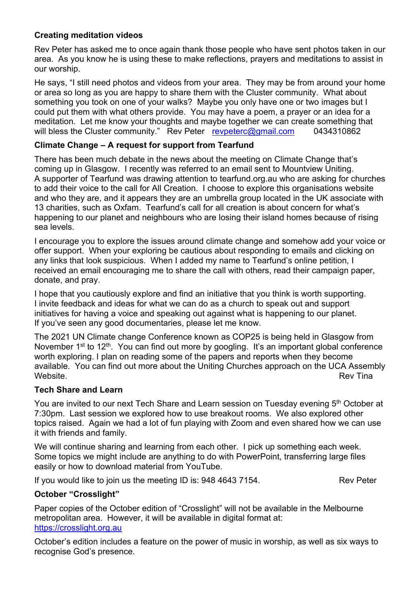#### **Creating meditation videos**

Rev Peter has asked me to once again thank those people who have sent photos taken in our area. As you know he is using these to make reflections, prayers and meditations to assist in our worship.

He says, "I still need photos and videos from your area. They may be from around your home or area so long as you are happy to share them with the Cluster community. What about something you took on one of your walks? Maybe you only have one or two images but I could put them with what others provide. You may have a poem, a prayer or an idea for a meditation. Let me know your thoughts and maybe together we can create something that will bless the Cluster community." Rev Peter revpeterc@gmail.com 0434310862

#### **Climate Change – A request for support from Tearfund**

There has been much debate in the news about the meeting on Climate Change that's coming up in Glasgow. I recently was referred to an email sent to Mountview Uniting. A supporter of Tearfund was drawing attention to tearfund.org.au who are asking for churches to add their voice to the call for All Creation. I choose to explore this organisations website and who they are, and it appears they are an umbrella group located in the UK associate with 13 charities, such as Oxfam. Tearfund's call for all creation is about concern for what's happening to our planet and neighbours who are losing their island homes because of rising sea levels.

I encourage you to explore the issues around climate change and somehow add your voice or offer support. When your exploring be cautious about responding to emails and clicking on any links that look suspicious. When I added my name to Tearfund's online petition, I received an email encouraging me to share the call with others, read their campaign paper, donate, and pray.

I hope that you cautiously explore and find an initiative that you think is worth supporting. I invite feedback and ideas for what we can do as a church to speak out and support initiatives for having a voice and speaking out against what is happening to our planet. If you've seen any good documentaries, please let me know.

The 2021 UN Climate change Conference known as COP25 is being held in Glasgow from November 1<sup>st</sup> to 12<sup>th</sup>. You can find out more by googling. It's an important global conference worth exploring. I plan on reading some of the papers and reports when they become available. You can find out more about the Uniting Churches approach on the UCA Assembly Website. Rev Tina

#### **Tech Share and Learn**

You are invited to our next Tech Share and Learn session on Tuesday evening 5<sup>th</sup> October at 7:30pm. Last session we explored how to use breakout rooms. We also explored other topics raised. Again we had a lot of fun playing with Zoom and even shared how we can use it with friends and family.

We will continue sharing and learning from each other. I pick up something each week. Some topics we might include are anything to do with PowerPoint, transferring large files easily or how to download material from YouTube.

If you would like to join us the meeting ID is: 948 4643 7154. Rev Peter

#### **October "Crosslight"**

Paper copies of the October edition of "Crosslight" will not be available in the Melbourne metropolitan area. However, it will be available in digital format at: https://crosslight.org.au

October's edition includes a feature on the power of music in worship, as well as six ways to recognise God's presence.